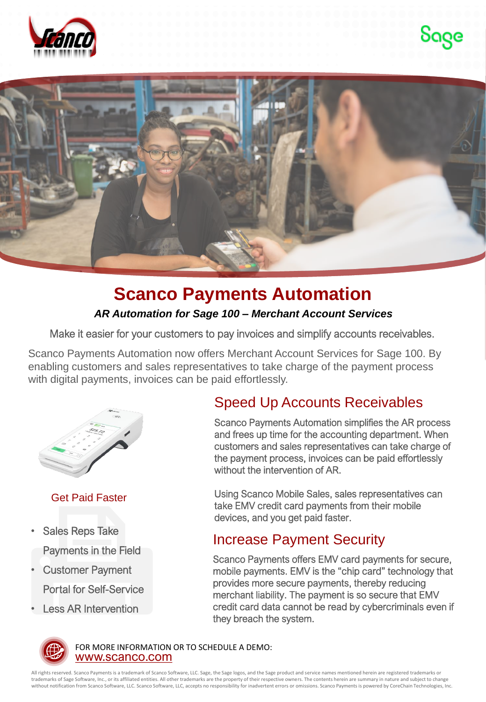





## **Scanco Payments Automation**

#### *AR Automation for Sage 100 – Merchant Account Services*

Make it easier for your customers to pay invoices and simplify accounts receivables.

Scanco Payments Automation now offers Merchant Account Services for Sage 100. By enabling customers and sales representatives to take charge of the payment process with digital payments, invoices can be paid effortlessly.



#### Get Paid Faster

- Sales Reps Take Payments in the Field
- Customer Payment Portal for Self-Service
- Less AR Intervention

## Speed Up Accounts Receivables

Scanco Payments Automation simplifies the AR process and frees up time for the accounting department. When customers and sales representatives can take charge of the payment process, invoices can be paid effortlessly without the intervention of AR.

Using Scanco Mobile Sales, sales representatives can take EMV credit card payments from their mobile devices, and you get paid faster.

### Increase Payment Security

Scanco Payments offers EMV card payments for secure, mobile payments. EMV is the "chip card" technology that provides more secure payments, thereby reducing merchant liability. The payment is so secure that EMV credit card data cannot be read by cybercriminals even if they breach the system.



[www.scanco.com](https://scanco.com/) FOR MORE INFORMATION OR TO SCHEDULE A DEMO:

All rights reserved. Scanco Payments is a trademark of Scanco Software, LLC. Sage, the Sage logos, and the Sage product and service names mentioned herein are registered trademarks or trademarks of Sage Software, Inc., or its affiliated entities. All other trademarks are the property of their respective owners. The contents herein are summary in nature and subject to change without notification from Scanco Software, LLC. Scanco Software, LLC, accepts no responsibility for inadvertent errors or omissions. Scanco Payments is powered by CoreChain Technologies, Inc.